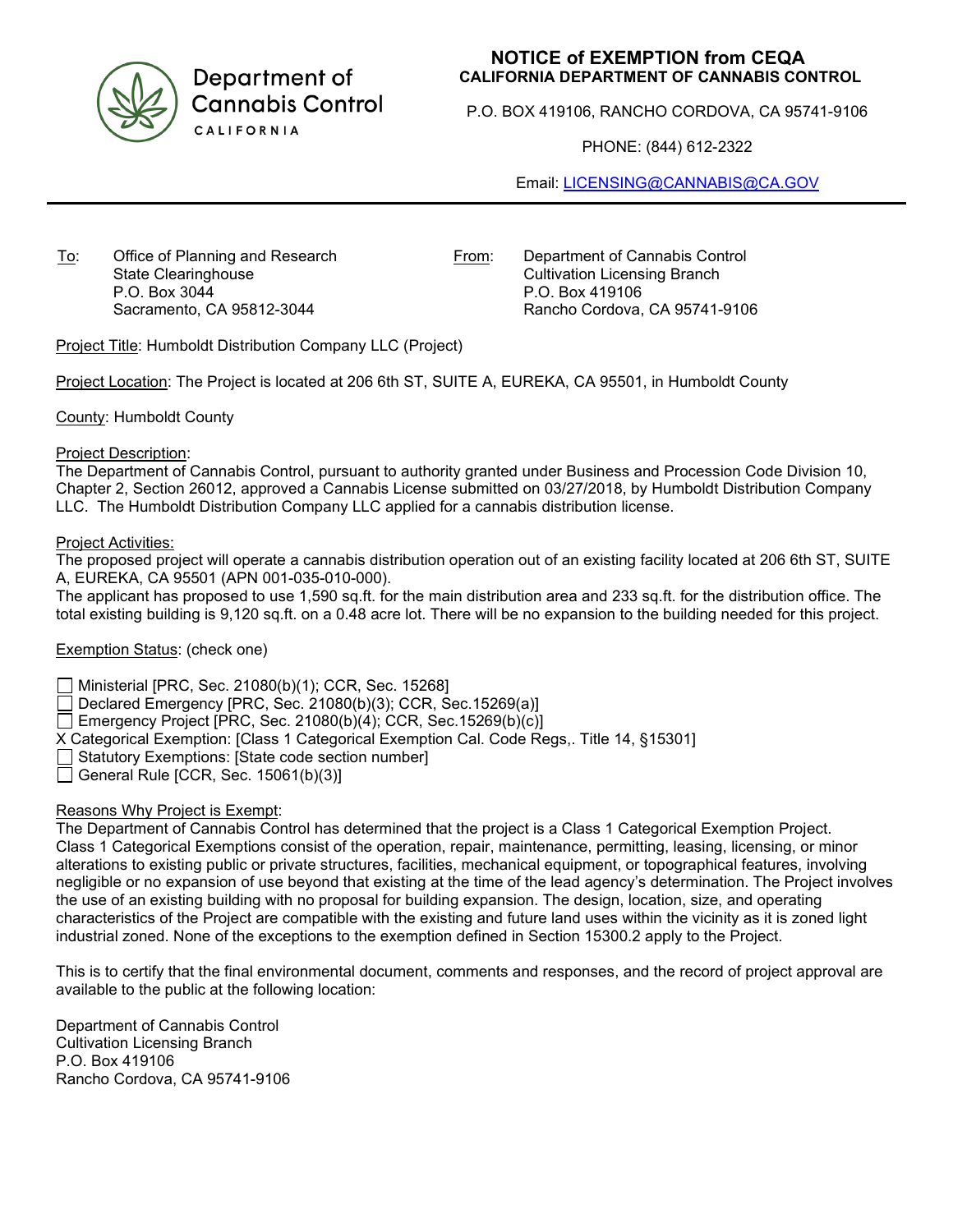

Department of **Cannabis Control** CALIFORNIA

# **NOTICE of EXEMPTION from CEQA CALIFORNIA DEPARTMENT OF CANNABIS CONTROL**

P.O. BOX 419106, RANCHO CORDOVA, CA 95741-9106

PHONE: (844) 612-2322

Email: [LICENSING@CANNABIS@CA.GOV](mailto:LICENSING@CANNABIS@CA.GOV)

To: Office of Planning and Research State Clearinghouse P.O. Box 3044 Sacramento, CA 95812-3044

From: Department of Cannabis Control Cultivation Licensing Branch P.O. Box 419106 Rancho Cordova, CA 95741-9106

Project Title: Humboldt Distribution Company LLC (Project)

Project Location: The Project is located at 206 6th ST, SUITE A, EUREKA, CA 95501, in Humboldt County

County: Humboldt County

#### Project Description:

The Department of Cannabis Control, pursuant to authority granted under Business and Procession Code Division 10, Chapter 2, Section 26012, approved a Cannabis License submitted on 03/27/2018, by Humboldt Distribution Company LLC. The Humboldt Distribution Company LLC applied for a cannabis distribution license.

#### Project Activities:

The proposed project will operate a cannabis distribution operation out of an existing facility located at 206 6th ST, SUITE A, EUREKA, CA 95501 (APN 001-035-010-000).

The applicant has proposed to use 1,590 sq.ft. for the main distribution area and 233 sq.ft. for the distribution office. The total existing building is 9,120 sq.ft. on a 0.48 acre lot. There will be no expansion to the building needed for this project.

## Exemption Status: (check one)

Ministerial [PRC, Sec. 21080(b)(1); CCR, Sec. 15268]

Declared Emergency [PRC, Sec. 21080(b)(3); CCR, Sec.15269(a)]

Emergency Project [PRC, Sec. 21080(b)(4); CCR, Sec. 15269(b)(c)]

X Categorical Exemption: [Class 1 Categorical Exemption Cal. Code Regs,. Title 14, §15301]

 $\Box$  Statutory Exemptions: [State code section number]

General Rule [CCR, Sec.  $15061(b)(3)$ ]

## Reasons Why Project is Exempt:

The Department of Cannabis Control has determined that the project is a Class 1 Categorical Exemption Project. Class 1 Categorical Exemptions consist of the operation, repair, maintenance, permitting, leasing, licensing, or minor alterations to existing public or private structures, facilities, mechanical equipment, or topographical features, involving negligible or no expansion of use beyond that existing at the time of the lead agency's determination. The Project involves the use of an existing building with no proposal for building expansion. The design, location, size, and operating characteristics of the Project are compatible with the existing and future land uses within the vicinity as it is zoned light industrial zoned. None of the exceptions to the exemption defined in Section 15300.2 apply to the Project.

This is to certify that the final environmental document, comments and responses, and the record of project approval are available to the public at the following location:

Department of Cannabis Control Cultivation Licensing Branch P.O. Box 419106 Rancho Cordova, CA 95741-9106